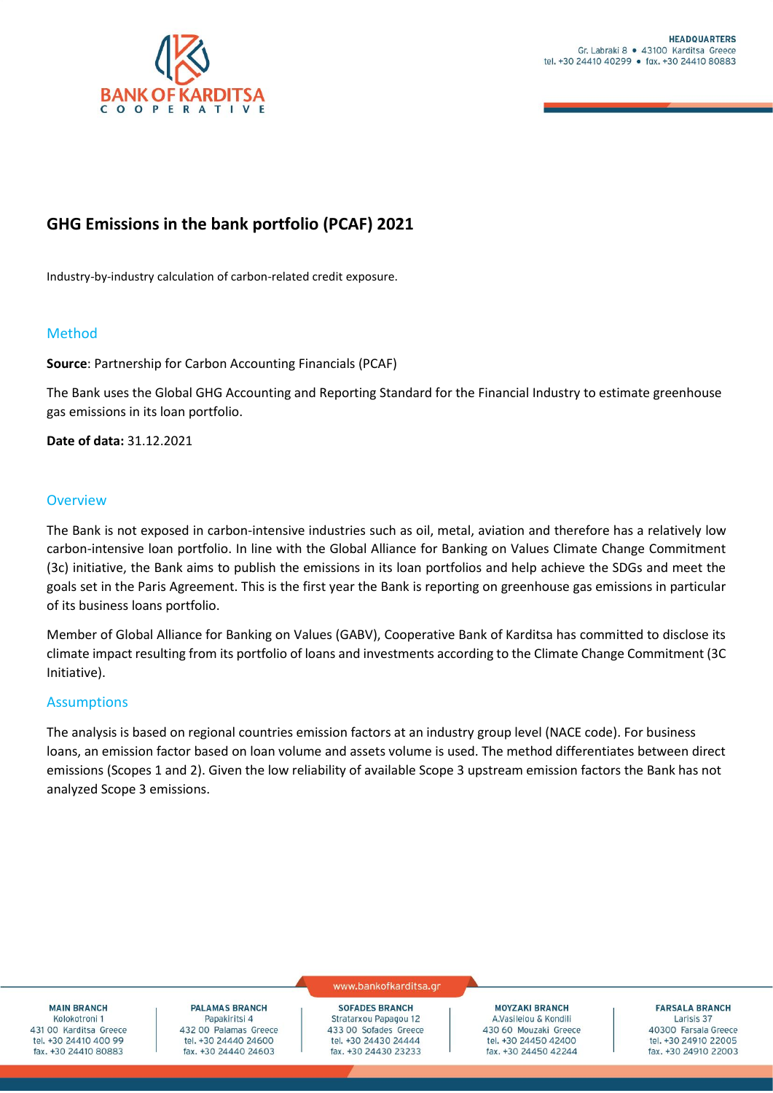

# **GHG Emissions in the bank portfolio (PCAF) 2021**

Industry-by-industry calculation of carbon-related credit exposure.

# Method

**Source**: Partnership for Carbon Accounting Financials (PCAF)

The Bank uses the Global GHG Accounting and Reporting Standard for the Financial Industry to estimate greenhouse gas emissions in its loan portfolio.

**Date of data:** 31.12.2021

### **Overview**

The Bank is not exposed in carbon-intensive industries such as oil, metal, aviation and therefore has a relatively low carbon-intensive loan portfolio. In line with the Global Alliance for Banking on Values Climate Change Commitment (3c) initiative, the Bank aims to publish the emissions in its loan portfolios and help achieve the SDGs and meet the goals set in the Paris Agreement. This is the first year the Bank is reporting on greenhouse gas emissions in particular of its business loans portfolio.

Member of Global Alliance for Banking on Values (GABV), Cooperative Bank of Karditsa has committed to disclose its climate impact resulting from its portfolio of loans and investments according to the Climate Change Commitment (3C Initiative).

# Assumptions

The analysis is based on regional countries emission factors at an industry group level (NACE code). For business loans, an emission factor based on loan volume and assets volume is used. The method differentiates between direct emissions (Scopes 1 and 2). Given the low reliability of available Scope 3 upstream emission factors the Bank has not analyzed Scope 3 emissions.

**MAIN BRANCH** Kolokotroni 1 431 00 Karditsa Greece tel. +30 24410 400 99 fax, +30 24410 80883

# **PALAMAS BRANCH**

Papakiritsi 4 432 00 Palamas Greece tel. +30 24440 24600 fax. +30 24440 24603

#### www.bankofkarditsa.gr

**SOFADES BRANCH** Stratarxou Papagou 12 433 00 Sofades Greece tel. +30 24430 24444 fax. +30 24430 23233

**MOYZAKI BRANCH** A.Vasileiou & Kondili 430 60 Mouzaki Greece tel. +30 24450 42400 fax. +30 24450 42244

**FARSALA BRANCH** Larisis 37 40300 Farsala Greece tel. +30 24910 22005 fax. +30 24910 22003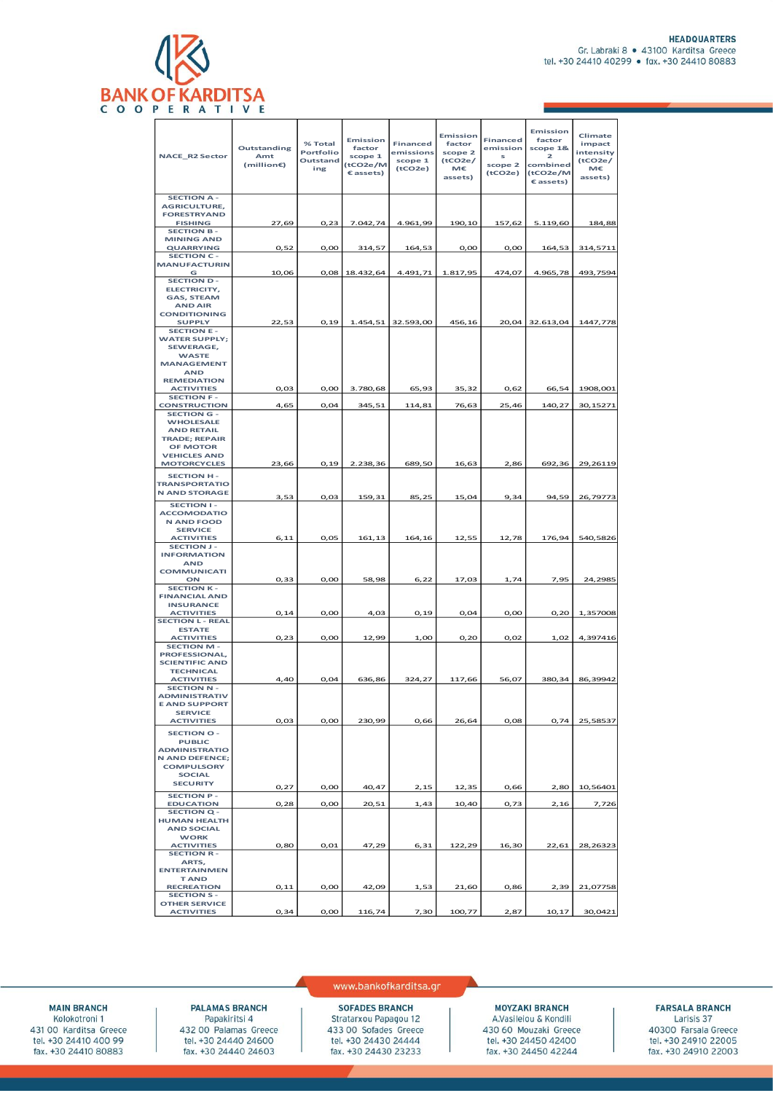

| <b>NACE_R2 Sector</b>                        | Outstanding<br>Amt<br>(million€) | % Total<br>Portfolio<br>Outstand<br>ing | Emission<br>factor<br>scope 1<br>(tCO2e/M<br>Cassets) | <b>Financed</b><br>emissions<br>scope 1<br>(tCO2e) | Emission<br>factor<br>scope 2<br>(tCO2e/<br>M€<br>assets) | <b>Financed</b><br>emission<br>s<br>scope 2<br>(tCO2e) | Emission<br>factor<br>scope 1&<br>$\overline{\mathbf{z}}$<br>combined<br>(tCO2e/M<br>Cassets) | Climate<br>impact<br>intensity<br>(tCO2e/<br>М€<br>assets) |
|----------------------------------------------|----------------------------------|-----------------------------------------|-------------------------------------------------------|----------------------------------------------------|-----------------------------------------------------------|--------------------------------------------------------|-----------------------------------------------------------------------------------------------|------------------------------------------------------------|
| <b>SECTION A-</b>                            |                                  |                                         |                                                       |                                                    |                                                           |                                                        |                                                                                               |                                                            |
| <b>AGRICULTURE,</b>                          |                                  |                                         |                                                       |                                                    |                                                           |                                                        |                                                                                               |                                                            |
| <b>FORESTRYAND</b>                           |                                  |                                         |                                                       |                                                    |                                                           |                                                        |                                                                                               |                                                            |
| <b>FISHING</b>                               | 27,69                            | 0,23                                    | 7.042,74                                              | 4.961,99                                           | 190,10                                                    | 157,62                                                 | 5.119,60                                                                                      | 184,88                                                     |
| <b>SECTION B-</b>                            |                                  |                                         |                                                       |                                                    |                                                           |                                                        |                                                                                               |                                                            |
| <b>MINING AND</b>                            |                                  |                                         |                                                       |                                                    |                                                           |                                                        |                                                                                               |                                                            |
| <b>QUARRYING</b><br><b>SECTION C-</b>        | 0,52                             | O, OO                                   | 314,57                                                | 164,53                                             | O, OO                                                     | 0,00                                                   | 164,53                                                                                        | 314,5711                                                   |
| <b>MANUFACTURIN</b>                          |                                  |                                         |                                                       |                                                    |                                                           |                                                        |                                                                                               |                                                            |
| G                                            | 10,06                            | 0.08                                    | 18.432,64                                             | 4.491,71                                           | 1.817,95                                                  | 474,07                                                 | 4.965,78                                                                                      | 493,7594                                                   |
| <b>SECTION D-</b>                            |                                  |                                         |                                                       |                                                    |                                                           |                                                        |                                                                                               |                                                            |
| ELECTRICITY,                                 |                                  |                                         |                                                       |                                                    |                                                           |                                                        |                                                                                               |                                                            |
| <b>GAS, STEAM</b>                            |                                  |                                         |                                                       |                                                    |                                                           |                                                        |                                                                                               |                                                            |
| <b>AND AIR</b>                               |                                  |                                         |                                                       |                                                    |                                                           |                                                        |                                                                                               |                                                            |
| <b>CONDITIONING</b>                          |                                  |                                         |                                                       |                                                    |                                                           |                                                        |                                                                                               |                                                            |
| <b>SUPPLY</b>                                | 22,53                            | 0,19                                    |                                                       | 1.454,51 32.593,00                                 | 456,16                                                    |                                                        | 20,04 32.613,04                                                                               | 1447,778                                                   |
| <b>SECTION E-</b><br><b>WATER SUPPLY;</b>    |                                  |                                         |                                                       |                                                    |                                                           |                                                        |                                                                                               |                                                            |
| <b>SEWERAGE.</b>                             |                                  |                                         |                                                       |                                                    |                                                           |                                                        |                                                                                               |                                                            |
| <b>WASTE</b>                                 |                                  |                                         |                                                       |                                                    |                                                           |                                                        |                                                                                               |                                                            |
| <b>MANAGEMENT</b>                            |                                  |                                         |                                                       |                                                    |                                                           |                                                        |                                                                                               |                                                            |
| <b>AND</b>                                   |                                  |                                         |                                                       |                                                    |                                                           |                                                        |                                                                                               |                                                            |
| <b>REMEDIATION</b>                           |                                  |                                         |                                                       |                                                    |                                                           |                                                        |                                                                                               |                                                            |
| <b>ACTIVITIES</b>                            | 0,03                             | 0,00                                    | 3.780,68                                              | 65,93                                              | 35,32                                                     | 0,62                                                   | 66,54                                                                                         | 1908,001                                                   |
| <b>SECTION F-</b><br><b>CONSTRUCTION</b>     |                                  |                                         |                                                       |                                                    |                                                           |                                                        |                                                                                               | 30,15271                                                   |
| <b>SECTION G -</b>                           | 4,65                             | 0,04                                    | 345,51                                                | 114,81                                             | 76,63                                                     | 25,46                                                  | 140,27                                                                                        |                                                            |
| <b>WHOLESALE</b>                             |                                  |                                         |                                                       |                                                    |                                                           |                                                        |                                                                                               |                                                            |
| <b>AND RETAIL</b>                            |                                  |                                         |                                                       |                                                    |                                                           |                                                        |                                                                                               |                                                            |
| <b>TRADE; REPAIR</b>                         |                                  |                                         |                                                       |                                                    |                                                           |                                                        |                                                                                               |                                                            |
| OF MOTOR                                     |                                  |                                         |                                                       |                                                    |                                                           |                                                        |                                                                                               |                                                            |
| <b>VEHICLES AND</b>                          |                                  |                                         |                                                       |                                                    |                                                           |                                                        |                                                                                               |                                                            |
| <b>MOTORCYCLES</b>                           | 23,66                            | 0, 19                                   | 2.238,36                                              | 689,50                                             | 16,63                                                     | 2,86                                                   | 692,36                                                                                        | 29,26119                                                   |
| <b>SECTION H-</b>                            |                                  |                                         |                                                       |                                                    |                                                           |                                                        |                                                                                               |                                                            |
| <b>TRANSPORTATIO</b>                         |                                  |                                         |                                                       |                                                    |                                                           |                                                        |                                                                                               |                                                            |
| <b>N AND STORAGE</b>                         | 3,53                             | 0,03                                    | 159,31                                                | 85,25                                              | 15,04                                                     | 9,34                                                   | 94,59                                                                                         | 26,79773                                                   |
| <b>SECTION I-</b>                            |                                  |                                         |                                                       |                                                    |                                                           |                                                        |                                                                                               |                                                            |
| <b>ACCOMODATIO</b>                           |                                  |                                         |                                                       |                                                    |                                                           |                                                        |                                                                                               |                                                            |
| <b>N AND FOOD</b>                            |                                  |                                         |                                                       |                                                    |                                                           |                                                        |                                                                                               |                                                            |
| <b>SERVICE</b>                               |                                  |                                         |                                                       |                                                    |                                                           |                                                        |                                                                                               |                                                            |
| <b>ACTIVITIES</b>                            | 6, 11                            | 0,05                                    | 161,13                                                | 164,16                                             | 12,55                                                     | 12,78                                                  | 176,94                                                                                        | 540,5826                                                   |
| <b>SECTION J-</b><br><b>INFORMATION</b>      |                                  |                                         |                                                       |                                                    |                                                           |                                                        |                                                                                               |                                                            |
| <b>AND</b>                                   |                                  |                                         |                                                       |                                                    |                                                           |                                                        |                                                                                               |                                                            |
| <b>COMMUNICATI</b>                           |                                  |                                         |                                                       |                                                    |                                                           |                                                        |                                                                                               |                                                            |
| ON                                           | 0,33                             | O, OO                                   | 58,98                                                 | 6,22                                               | 17,03                                                     | 1,74                                                   | 7,95                                                                                          | 24,2985                                                    |
| <b>SECTION K-</b>                            |                                  |                                         |                                                       |                                                    |                                                           |                                                        |                                                                                               |                                                            |
| <b>FINANCIAL AND</b>                         |                                  |                                         |                                                       |                                                    |                                                           |                                                        |                                                                                               |                                                            |
| <b>INSURANCE</b>                             |                                  |                                         |                                                       |                                                    |                                                           |                                                        |                                                                                               |                                                            |
| <b>ACTIVITIES</b>                            | 0,14                             | O, OO                                   | 4,03                                                  | 0, 19                                              | 0,04                                                      | O, OO                                                  | 0,20                                                                                          | 1,357008                                                   |
| <b>SECTION L - REAL</b><br><b>ESTATE</b>     |                                  |                                         |                                                       |                                                    |                                                           |                                                        |                                                                                               |                                                            |
| <b>ACTIVITIES</b>                            | 0,23                             | O, OO                                   | 12,99                                                 | 1,00                                               | 0,20                                                      | 0,02                                                   | 1,02                                                                                          | 4,397416                                                   |
| <b>SECTION M-</b>                            |                                  |                                         |                                                       |                                                    |                                                           |                                                        |                                                                                               |                                                            |
| PROFESSIONAL,                                |                                  |                                         |                                                       |                                                    |                                                           |                                                        |                                                                                               |                                                            |
| <b>SCIENTIFIC AND</b>                        |                                  |                                         |                                                       |                                                    |                                                           |                                                        |                                                                                               |                                                            |
| <b>TECHNICAL</b>                             |                                  |                                         |                                                       |                                                    |                                                           |                                                        |                                                                                               |                                                            |
| <b>ACTIVITIES</b>                            | 4,40                             | 0,04                                    | 636,86                                                | 324,27                                             | 117,66                                                    | 56,07                                                  | 380,34                                                                                        | 86,39942                                                   |
| <b>SECTION N-</b>                            |                                  |                                         |                                                       |                                                    |                                                           |                                                        |                                                                                               |                                                            |
| <b>ADMINISTRATIV</b><br><b>E AND SUPPORT</b> |                                  |                                         |                                                       |                                                    |                                                           |                                                        |                                                                                               |                                                            |
| <b>SERVICE</b>                               |                                  |                                         |                                                       |                                                    |                                                           |                                                        |                                                                                               |                                                            |
| <b>ACTIVITIES</b>                            | 0,03                             | O, OO                                   | 230,99                                                | 0,66                                               | 26,64                                                     | 0,08                                                   | 0,74                                                                                          | 25,58537                                                   |
| <b>SECTION O-</b>                            |                                  |                                         |                                                       |                                                    |                                                           |                                                        |                                                                                               |                                                            |
| <b>PUBLIC</b>                                |                                  |                                         |                                                       |                                                    |                                                           |                                                        |                                                                                               |                                                            |
| <b>ADMINISTRATIO</b>                         |                                  |                                         |                                                       |                                                    |                                                           |                                                        |                                                                                               |                                                            |
| <b>N AND DEFENCE;</b>                        |                                  |                                         |                                                       |                                                    |                                                           |                                                        |                                                                                               |                                                            |
| <b>COMPULSORY</b>                            |                                  |                                         |                                                       |                                                    |                                                           |                                                        |                                                                                               |                                                            |
| <b>SOCIAL</b>                                |                                  |                                         |                                                       |                                                    |                                                           |                                                        |                                                                                               |                                                            |
| <b>SECURITY</b>                              | 0,27                             | 0,00                                    | 40,47                                                 | 2,15                                               | 12,35                                                     | 0,66                                                   | 2,80                                                                                          | 10,56401                                                   |
| <b>SECTION P-</b>                            |                                  |                                         |                                                       |                                                    |                                                           |                                                        |                                                                                               |                                                            |
| <b>EDUCATION</b>                             | 0,28                             | O, OO                                   | 20,51                                                 | 1,43                                               | 10,40                                                     | 0,73                                                   | 2,16                                                                                          | 7,726                                                      |
| <b>SECTION Q-</b>                            |                                  |                                         |                                                       |                                                    |                                                           |                                                        |                                                                                               |                                                            |
| <b>HUMAN HEALTH</b>                          |                                  |                                         |                                                       |                                                    |                                                           |                                                        |                                                                                               |                                                            |
| <b>AND SOCIAL</b><br><b>WORK</b>             |                                  |                                         |                                                       |                                                    |                                                           |                                                        |                                                                                               |                                                            |
| <b>ACTIVITIES</b>                            | 0,80                             | 0,01                                    | 47,29                                                 | 6,31                                               | 122,29                                                    | 16,30                                                  | 22,61                                                                                         | 28,26323                                                   |
| <b>SECTION R-</b>                            |                                  |                                         |                                                       |                                                    |                                                           |                                                        |                                                                                               |                                                            |
| ARTS,                                        |                                  |                                         |                                                       |                                                    |                                                           |                                                        |                                                                                               |                                                            |
| <b>ENTERTAINMEN</b>                          |                                  |                                         |                                                       |                                                    |                                                           |                                                        |                                                                                               |                                                            |
| <b>TAND</b>                                  |                                  |                                         |                                                       |                                                    |                                                           |                                                        |                                                                                               |                                                            |
| <b>RECREATION</b>                            | 0,11                             | 0,00                                    | 42,09                                                 | 1,53                                               | 21,60                                                     | 0,86                                                   | 2,39                                                                                          | 21,07758                                                   |
| <b>SECTION S-</b>                            |                                  |                                         |                                                       |                                                    |                                                           |                                                        |                                                                                               |                                                            |
| <b>OTHER SERVICE</b><br><b>ACTIVITIES</b>    |                                  |                                         |                                                       | 7,30                                               | 100,77                                                    |                                                        |                                                                                               | 30,0421                                                    |
|                                              | 0,34                             | 0,00                                    | 116,74                                                |                                                    |                                                           | 2,87                                                   | 10,17                                                                                         |                                                            |

**MAIN BRANCH** Kolokotroni 1 431 00 Karditsa Greece tel. +30 24410 400 99<br>fax. +30 24410 80883

#### **PALAMAS BRANCH**

Papakiritsi 4<br>432 00 Palamas Greece<br>tel. +30 24440 24600 fax. +30 24440 24603

#### www.bankofkarditsa.gr

**SOFADES BRANCH** Stratarxou Papagou 12 433 00 Sofades Greece<br>tel. +30 24430 24444 fax. +30 24430 23233

**MOYZAKI BRANCH** A.Vasileiou & Kondili 430 60 Mouzaki Greece tel. +30 24450 42400<br>fax. +30 24450 42244

#### **FARSALA BRANCH** Larisis 37

40300 Farsala Greece<br>tel. +30 24910 22005<br>fax. +30 24910 22003